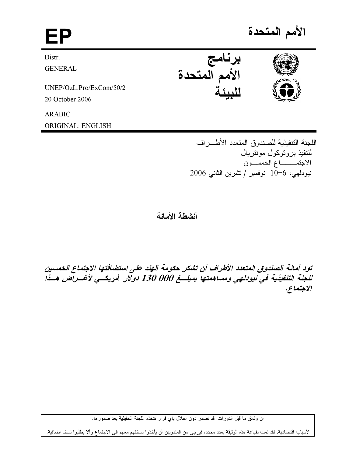# الأمم المتحدة EP برنامج<br>الأمم المتحدة Distr. **GENERAL** UNEP/OzL.Pro/ExCom/50/2 20 October 2006 **ARABIC**

ORIGINAL: ENGLISH

اللجنة التنفيذية للصندوق المتعدد الأطـــر اف لنتفيذ بر و توكول مونتر يال الاجتمــــاع الخمســون نيودلهي، 6−10 نوفمبر / تشرين الثاني 2006

أنشطة الأمانة

تود أمانة الصندوق المتعدد الأطراف أن تشكر حكومة الهند على استضافتها الاجتماع الخمسين للجنة التنفيذية في نيودلهي ومساهمتها بمبلسغ 000 130 دولار أمريكسي لأغسر آض هسذا الاجتماع.

ان وثائق ما قبل الدورات قد تصدر دون اخلال بأي قرار تتخذه اللجنة التنفيذية بعد صدورها.

لأسباب اقتصادية، لقد تمت طباعة هذه الوثيقة بعدد محدد، فيرجى من المندوبين أن يأخذوا نسختهم معهم الى الاجتماع وألا يطلبوا نسخا اضافية.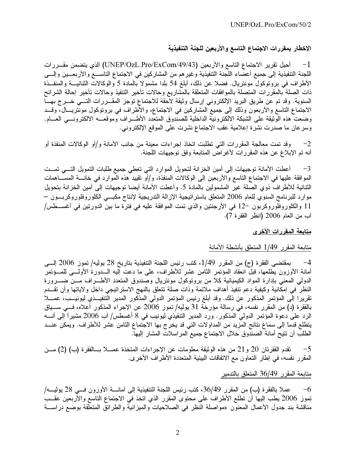## الإخطار بمقررات الاجتماع التاسع والأربعين للجنة التنفيذية

أُهيل نقرير الاجتماع التاسع والأربعين (UNEP/OzL.Pro/ExCom/49/43) الذي يتضمن مقـــررات  $-1$ اللجنة التنفيذية إلى جميع أعضاء اللجنة التنفيذية وغيرهم من المشاركين في الاجتماع التاســـع والأربعـــين وإلـــي الأطراف في بروتوكول مونتريال. فضلا عن ذلك، أبلغ 54 بلدا مشمولا بالمادة 5 والوكالات الثنائيـــة والمنفــذة ذات الصلة بالمقررات المتصلة بالموافقات المتعلقة بالمشاريع وحالات تأخير التنفيذ وحالات تأخير إحالة الشرائح السنوية. وقد تم عن طريق البريد الإلكتروني إرسال وثيقة لاحقة للاجتماع توجز المقـــررات التــــي خــــرج بهــــا الاجتماع التاسع والأربعون وذلك إلى جميع المشاركين في الاجتماع، والأطراف في بروتوكول مونتريـــال، وقـــد وضعت هذه الوثيقة على الشبكة الالكترونية الداخلية للصندوق المتعدد الأطـــراف وموقعـــه الالكترونــــى العــــام. وسرعان ما صدرت نشرة إعلامية عقب الاجتماع نشرت على الموقع الإلكتروني.

وقد تمت معالجة المقررات التي تطلبت اتخاذ إجراءات معينة من جانب الأمانة و/أو الوكالات المنفذة أو  $-2$ أنه تم الإبلاغ عن هذه المقررات لأغراض المتابعة وفق توجيهات اللجنة.

أعطت الأمانة توجيهات إلى أمين الخزانة لتحويل الموارد التي تغطي جميع طلبات التمويل التسي تمست  $-3$ الموافقة عليها في الاجتماع التاسع والأربعين إلى الوكالات المنفذة، و/أو تقييد هذه الموارد فى خانــــة المسـَـــاهمات الثنائية للأطراف ذوى الصلة غير المشمولين بالمادة 5. وأعطت الأمانة أيضا توجيهات إلى أمين الخزانة بتحويل موارد للبرنامج السنوي للعام 2006 المتعلق باستراتيجية الإزالة التدريجية لإنتاج مكبــي الكلوروفلوروكربـــون – 11 والكلوروفلوروكربون −12 في الأرجنتين والذي تمت الموافقة عليه في فترة ما بين الدورتين في أغســـطس/ آب من العام 2006 (انظر الفقرة 7).

#### <u>متابعة المقررات الأخرى</u>

#### متابعة المقرر 1/49 المتعلق بأنشطة الأمانة

بمقتضىي الفقرة (ج) من المقرر 1/49، كتب رئيس اللجنة التنفيذية بتاريخ 28 يوليه/ تموز 2006 إلـــي  $-4$ أمانة الأوزون يطلعها، قبل انعقاد المؤتمر الثامن عشر للأطراف، على ما دعت إليه الـــدورة الأولـــي للمـــؤتمر الدولمي المعنى بإدارة المواد الكيميائية كلأ من بروتوكول مونتريال وصندوق المتعدد الأطـــراف مـــن ضــــرورة النظرٌ في إمكَانية وكيفية دعم تنفيذ أهداف ملائمة وذات صلة تتعلق بالنهج الاستراتيجي داخل ولاياتها وأن تقـــدم تقريرا إلى المؤتمر المذكور عن ذلك. وقد أبلغ رئيس المؤتمر الدولي المذكور المدير التنفيــذي ليونيــب، عمـــلا بالفقرة (د) من المقرر نفسه، في رسالة مؤرخة 31 يوليه/ تموز 2006 عن الإجراء المذكور أعلاه، فـــي ســـياق الرد على دعوة المؤتمر الدولي المذكور . ورد المدير التنفيذي ليونيب في 8 أغسطس/ آب 2006 مشيراً إلى أنــــه يتطلع قدماً إلى سماع نتائج المزيد من المداولات التي قد يخرج بها الاجتماع الثامن عشر للأطراف. ويمكن عنـــد الطلب أن تتيح أمانة الصندوق خلال الاجتماع جميع المر اسلات المشار إليها.

تقدم الفقرتان 20 و21 من هذه الوثيقة معلومات عن الإجراءات المتخذة عمـــلا بـــالفقرة (ب) (2) مـــن  $-5$ المقرر نفسه، في إطار التعاون مع الاتفاقات البيئية المتعددة الأطراف الأخرى.

#### متابعة المقرر 36/49 المتعلق بالتدمير

عملاً بالفقرة (ب) من المقرر 36/49، كتب رئيس اللجنة التنفيذية إلى أمانــــة الأوزون فــــى 28 يوليــــه/  $-6$ نموز 2006 يطب إليها أن نطلع الأطراف على محتوى المقرر الذي انخذ في الاجتماع التاسع والأربعين عقــب مناقشة بند جدول الأعمال المعنون «مواصلة النظر في الصلاحيات والميزانية والطرائق المتعلقة بوضع دراســـة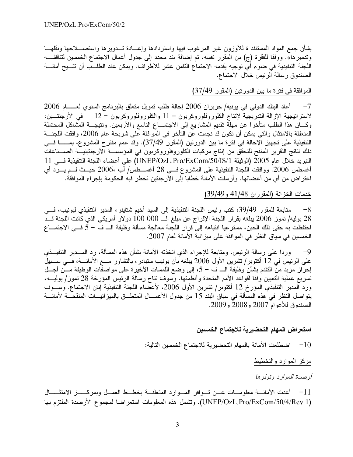بشأن جمع المواد المستنفد ة للأوزون غير المرغوب فيها واستردادها وإعـــادة تـــدويرها واستصــــلاحها ونقلهـــا وتدمير ها». ووفقا للفقرة (ج) من المقرر نفسه، تم إضافة بند محدد إلى جدول أعمال الاجتماع الخمسين لتناقشـــه اللجنة التنفيذية في ضوء أي توجيه يقدمه الاجتماع الثامن عشر للأطراف. ويمكن عند الطلــب أن تتـــيح أمانــــة الصندوق رسالة الرئيس خلال الاجتماع.

## الموافقة في فترة ما بين الدورتين (المقرر 37/49)

أعاد البنك الدولي في يونيه/ حزيران 2006 إحالة طلب تمويل متعلق بالبرنامج السنوي لعــــــام 2006  $-7$ لاستراتيجية الإزالة التدريجية لإنتاج الكلوروفلوروكربون − 11 والكلوروفلوروكربون − 12 ٪ في الأرجنتــين، وكــــان هذا الطلب متأخراً عن مهلة نقديم المشاريع إلى الاجتمــــاع التاسع والأربعين. ونتيجــــة المشاكل المحتملة المتعلقة بالامتثال والتي يمكن أن نكون قد نجمت عن التأخر في الموافقة على شريحة عام 2006، وافقت اللجنـــة التنفيذية على تجهيز الإحالة في فترة ما بين الدورتين (المقرر 37/49). وقد عمم مقترح المشروع، بمــــــا فـــي ذلك نتائج التقرير المنقح للتحقق من إنتاج مركبات الكلوروفلوروكربون في المؤسســـة الأرجنتينيـــة الصـــناعات النبريد خلال عام 2005 (الوثيقة UNEP/OzL.Pro/ExCom/50/IS/1) على أعضاء اللجنة التنفيذية فسي 11 أغسطس 2006. ووافقت اللجنة التنفيذية على المشروع فـــي 28 أغســـطس/ آب ،2006 حيـــث لـــم يــــرد أي اعتر اض من أي من أعضائها. وأرسلت الأمانة خطابا إلى الأرجنتين تخطر فيه الحكومة بإجراء الموافقة.

## خدمات الخزانة (المقرران 41/48 و39/49)

متابعة للمقرر 39/49، كتب رئيس اللجنة التنفيذية إلى السيد أخيم شتاينر ، المدير التنفيذي ليونيب، فـــي  $-8$ 28 يوليه/ تموز 2006 يبلغه بقرار اللجنة الإفراج عن مبلغ الـــ 000 100 دولار أمريكي الذي كانت اللجنة قـــد احتفظت به حتى ذلك الحين، مستر عيا انتباهه إلى قرار اللجنة معالجة مسألة وظيفة الــــ ف – 5 فـــى الاجتمــــاع الخمسين في سياق النظر في المو افقة على ميز انية الأمانة لعام 2007.

وردا على رسالة الرئيس، ومتابعة للإجراء الذي اتخذته الأمانة بشأن هذه المسألة، رد المـــدير التنفيـــذي  $-9$ على الرئيس في 12 أكتوبر/ تشرين الأول 2006 يبلغه بأن يونيب ستبادر، بالتشاور مـــع الأمانـــة، فـــي ســـبيل إحراز مزيد من التقدم بشأن وظيفة الـــ ف – 5، إلى وضع اللمسات الأخيرة على مواصفات الوظيفة مـــن أجـــل تسريع عملية التعيين وفقا لقواعد الأمم المتحدة وأنظمتها. وسوف نتاح رسالة الرئيس المؤرخة 28 تموز/ يوليــــه، ورد المدير التنفيذي المؤرخ 12 أكتوبر/ تشرين الأول 2006، لأعضاء اللجنة التنفيذية إبان الاجتماع. وســـوف يتواصل النظر في هذه المسألة في سياق البند 15 من جدول الأعمـــال المتعلـــق بالميزانيـــات المنقحـــة لأمانـــة الصندوق للأعوام 2007 و2008 و2009.

#### استعراض المهام التحضيرية للاجتماع الخمسين

اضطلعت الأمانة بالمهام التحضيرية للاجتماع الخمسين التالية:  $\sim\!10$ 

مركز الموارد والتخطيط

أرصدة الموارد وتوفرها

11− أعدت الأمانــــة معلومــــات عــــن تــــوافر المــــوارد المتعلقــــة بـخطــــط العمـــل وبمركـــــــز الامتثـــــــال (UNEP/OzL.Pro/ExCom/50/4/Rev.1). وتشمل هذه المعلومات استعراضا لمجموع الأرصدة الملتزم بها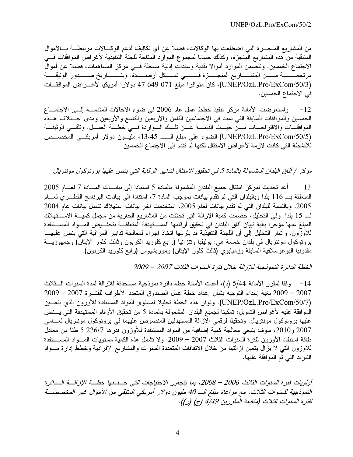من المشاريع المنجـــزة التي اضطلعت بها الوكالات، فضلا عن أي تكاليف لدعم الوكــــالات مرتبطــــة بــــالأموال المتبقية من هذه المشاريع المنجزة، وكذلك حسابا لمجموع الموارد المتاحة للجنة التنفيذية لأغراض الموافقات فسي الاجتماع الخمسين. وتتضمن الموارد أموالا نقدية وسندات إذنية مسجلة فـــى مركز المساهمات، فضلا عن أموال (UNEP/OzL.Pro/ExCom/50/3)، كان متوافرا مبلغ 071 649 47 دولارا أمريكيا لأغـــراض الموافقــات في الاجتماع الخمسين.

12− واستعرضت الأمانة مركز نتفيذ خطط عمل عام 2006 في ضوء الإحالات المقدمـــة إلـــي الاجتمـــاع الخمسين والموافقات السابقة التبي تمت في الاجتماعين الثامن والأربعين والتاسع والأربعين ومدى اخـــتلاف هـــذه الموافقـــات والاقتراحــــات مــــن حيـــث القيمــــة عـــن تلـــك الــــواردة فــــي خطــــة العمـــل. وتلقـــي الوثيقـــة (UNEP/OzL.Pro/ExCom/50/5) الضوء على مبلغ الـــــــــ 13،45، مليسون دولار أمريكسي المخصـــص للأنشطة التي كانت لازمة لأغراض الامتثال لكنها لم تقدم إلى الاجتماع الخمسين.

# مركز / آفاق البلدان المشمولة بالمادة 5 في تحقيق الامتثال لتدابير الرقابة التي ينص عليها بروتوكول مونتريال

أعد تحديث لمركز امتثال جميع البلدان المشمولة بالمادة 5 استنادا إلى بيانــــات المــــادة 7 لعــــام 2005  $-13$ المتعلقة بــ 116 بلداً وبالبلدان التي لم تقدم بيانات بموجب المادة 7، استنادا إلى بيانات البرنامج القطـــري لعــــام 2005. وبالنسبة للبلدان التي لم نقدم بيانات لعام 2005، استخدمت آخر بيانات استهلاك نشمل بيانات عام 2004 لــــ 15 بلدا. وفي التحليل، خصمت كمية الإزالة التي تحققت من المشاريع الجارية من مجمل كميــــة الاســــتهلاك المبلغ عنها مؤخرا بغية نبيان آفاق البلدان في تحقيق أرقامها المســتهدفة المتعلقــة بتخفــيض المـــواد المســتنفدة للأوزون. وأشار التحليل إلى أن اللجنة التنفيذية قد يلزمها اتخاذ إجراء لمعالجة تدابير المراقبة التي ينص عليهـــا برونوكول مونتريال في بلدان خمسة هي: بوليفيا ونتزانيا (رابع كلوريد الكربون وثالث كلور الإيثان) وجمهوريـــة مقدونيا اليوغوسلافية السابقة وزمبابوي (ثالث كلور الإيثان) وموريشيوس (رابع كلوريد الكربون).

الخطة الدائرة النموذجية للإزالة خلال فترة السنوات الثلاث 2007 – 2009

14 – وفقا لمقرر الأمانة 5/44 (د)، أعدت الأمانة خطة دائرة نموذجية مستحدثة للإزالة لمدة السنوات الــثلاث 2007 – 2009 بغية إسداء التوجيه بشأن إعداد خطة عمل الصندوق المتعدد الأطراف للفتـــرة 2007 – 2009 (UNEP/OzL.Pro/ExCom/50/7). وتوفر هذه الخطة تحليلا لمستوى المواد المستنفدة للأوزون الذي يتعسين الموافقة عليه لأغراض التمويل، تمكينا لجميع البلدان المشمولة بالمادة 5 من تحقيق الأرقام المستهدفة التي يــنص عليها بروتوكول مونتريال. وتحقيقا لرقمي الإزالة المستهدفين المنصوص عليهما في بروتوكول مونتريال لعـــامي 2007 و2010، سوف ينبغي معالجة كمية إضافية من المواد المستنفدة للأوزون قدرها 226٬7 5 طناً من معادل طاقة استنفاد الأوزون لفترة السنوات الثلاث 2007 – 2009. ولا تشمل هذه الكمية مستويات المسـواد المســتنفدة للأوزون التبي لا يزال يتعين إزالتها من خلال الاتفاقات المتعددة السنوات والمشاريع الإفرادية وخطط إدارة مـــواد التبريد التي تم الموافقة عليها.

أولويات فترة السنوات الثلاث 2006 – 2008، بما يتجاوز الاحتياجات التي حــددتها خطـــة الإزالـــة الــدائرة النموذجية للسنوات الثلاث، مع مراعاة مبلغ الــــ 40 مليون دولار أمريكي المتبقى من الأموال غير المخصصـــة لفترة السنوات الثلاث (متابعة المقررين 4/49 (ج) (ز)).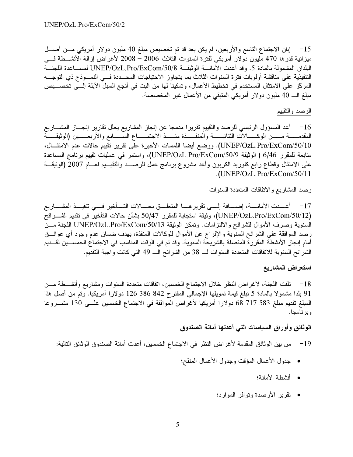15 – إبان الاجتماع التاسع والأربعين، لم يكن بعد قد تم تخصيص مبلغ 40 مليون دولار أمريكي مـــن أصــــل ميزانية قدرها 470 مليون دولار أمريكي لفترة السنوات الثلاث 2006 – 2008 لأغراض إزالة الأنشــطة فـــي البلدان المشمولة بالمادة 5. وقد أعدت الأمانــــة الوثيقـــة UNEP/OzL.Pro/ExCom/50/8 لمســـاعدة اللجنـــة التنفيذية على مناقشة أولويات فترة السنوات الثلاث بما يتجاوز الاحتياجات المحــددة فـــى النمـــوذج ذي التوجـــه المركّز على الامتثال المستخدم في تخطيط الأعمال، وتمكينا لها من البت في أنجع السبل الآيلة إلـــى تخصــــيص مبلغ الـــ 40 مليون دولار أمريكي المنبقى من الأعمال غير المخصصة.

## الرصد والتقييم

16 – أعد المسؤول الرئيسي للرصد والنقييم نقريرا مدمجا عن إنجاز المشاريع يحلل نقارير إنجـــاز المشــــاريع المقدمــــــة مـــــــن الوكـــــــالات الثنائيــــــة والمنفــــــذة منــــــذ الاجتمـــــاع الســــــابـع والأربعــــــين (الوثيقــــــة UNEP/OzL.Pro/ExCom/50/10). ووضع أيضا اللمسات الأخيرة على نقرير نقييم حالات عدم الامتثـــال، متابعة للمقرر 6/46 ( الوثيقة UNEP/OzL.Pro/ExCom/50/9)، واستمر في عمليات نقييم برنامج المساعدة على الامتثال وقطاع رابع كلوريد الكربون وأعد مشروع برنامج عمل للرصـــد والنقيـــيم لعـــام 2007 (الوثيقـــة .(UNEP/OzL.Pro/ExCom/50/11

## رصد المشاريع والاتفاقات المتعددة السنوات

17 – أعـــدت الأمانـــــة، إضـــــافة إلـــــى تقرير هــــا المتعلــــق بـحــــالات التــــأخير فــــى تتفيـــذ المشـــــاريع (UNEP/OzL.Pro/ExCom/50/12)، وثيقة استجابة للمقرر 50/47 بشأن حالات التأخير في تقديم الشــــرائح السنوية وصرف الأموال للشرائح والالتزامات. وتمكن الوثيقة UNEP/OzL.Pro/ExCom/50/13 اللجنة مــن رصد الموافقة على الشرائح السنوية والإفراج عن الأموال للوكالات المنفذة، بهدف ضمان عدم وجود أي عوائـــق أمام إنجاز الأنشطة المقررة المتصلة بالشريحة السنوية. وقد تم في الوقت المناسب في الاجتماع الخمســين تقـــديم الشرائح السنوية للاتفاقات المتعددة السنوات لـــ 38 من الشرائح الـــ 49 التي كانت واجبة التقديم.

## استعراض المشاريع

18− تلقت اللجنة، لأغراض النظر خلال الاجتماع الخمسين، اتفاقات متعددة السنوات ومشاريع وأنشـــطة مـــن 91 بلدا مشمولا بالمادة 5 نبلغ قيمة تمويلها الإجمالي المقترح 842 386 126 دولارا أمريكيا. وتم من أصل هذا المبلغ نقديم مبلغ 583 717 68 دولارا أمريكيا لأغراض الموافقة في الاجتماع الخمسين علــي 130 مشـــروعا و بر نامجا.

## الوثائق وأوراق السياسات التى أعدتها أمانة الصندوق

من بين الوثائق المقدمة لأغراض النظر في الاجتماع الخمسين، أعدت أمانة الصندوق الوثائق التالية:  $-19$ 

- جدول الأعمال المؤقت وجدول الأعمال المنقح؛
	- أنشطة الأمانة؛
	- تقرير الأرصدة وتوافر الموارد؛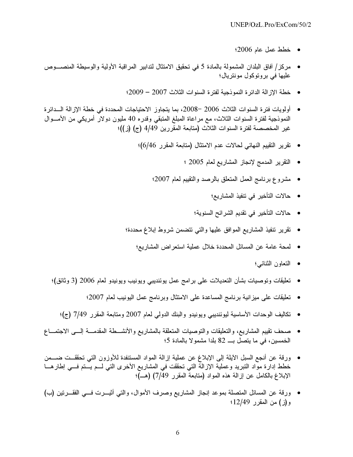- $\pm 2006$  خطط عمل عام 2006؛
- مركز/ أفاق البلدان المشمولة بالمادة 5 في تحقيق الامتثال لتدابير المراقبة الأولية والوسيطة المنصـــوص عليها في بروتوكول مونتريال؛
	- خطة الإزالة الدائرة النموذجية لفترة السنوات الثلاث 2007 2009؛
- أولويات فترة السنوات الثلاث 2006 −2008، بما يتجاوز الاحتياجات المحددة في خطة الإزالة الــدائرة النموذجية لفترة السنوات الثلاث، مع مراعاة المبلغ المتبقى وقدره 40 مليون دولارٌ أمريكي من الأمـــوال غير المخصصة لفترة السنوات الثلاث (متابعة المقررين 4/49 (ج) (ز))؛
	- نقرير النقييم النهائي لحالات عدم الامتثال (متابعة المقرر 6/46)؛
		- التقرير المدمج لإنجاز المشاريع لعام 2005 ؛
		- مشروع برنامج العمل المنعلق بالرصد والنقييم لعام 2007؛
			- حالات التأخير في تنفيذ المشاريع؛
			- حالات التأخير في تقديم الشرائح السنوية؛
	- نقرير تنفيذ المشاريع الموافق عليها والتـى نتضمن شروط إبلاغ محددة؛
		- لمحة عامة عن المسائل المحددة خلال عملية استعر اض المشاريع؛
			- النعاون الثنائبي؛
	- تعليقات وتوصيات بشأن التعديلات على برامج عمل يوننديبي ويونيب ويونيدو لعام 2006 (3 وثائق)؛
		- نعليقات على ميزانية برنامج المساعدة على الامتثال وبرنامج عمل اليونيب لعام 2007؛
		- تكاليف الوحدات الأساسية ليوننديبي ويونيدو والبنك الدولي لعام 2007 ومتابعة المقرر 7/49 (ج)؛
- صحف تقييم المشاريع، والنعليقات والتوصيات المتعلقة بالمشاريع والأنشـــطة المقدمـــة إلـــي الاجتمـــاع الخمسين، في ما يتصلَّ بــــ 82 بلدا مشمولا بالمادة 5؛
- ورقة عن أنجع السبل الأيلة إلى الإبلاغ عن عملية إزالة المواد المستنفدة للأوزون التي تحققــت ضـــمن خطط إدارة مواد النبريد وعملية الإزالة التي تحققت في المشاريع الأخرى التي لـــم يــــتم فـــي إطار هــــا الإبلاغ بالكامل عن إزالة هذه المواد (متابعةٌ المقرر 7/49) (هـــ)؛
- ورقة عن المسائل المتصلة بموعد إنجاز المشاريع وصرف الأموال، والتي أثيـــرت فـــي الفقـــرتين (ب) و(ز) من المقرر 12/49؛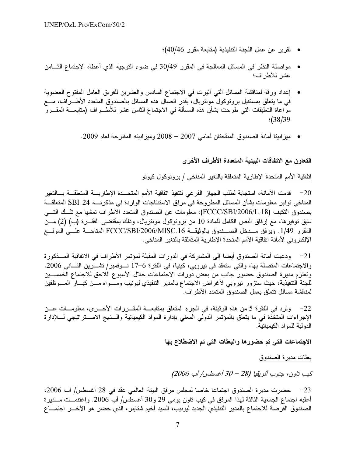- تقرير عن عمل اللجنة التنفيذية (متابعة مقرر 40/46)؛
- مواصلة النظر في المسائل المعالجة في المقرر 30/49 في ضوء التوجيه الذي أعطاه الاجتماع الثــــامن عشر للأطراف؛
- إعداد ورقة لمناقشة المسائل التي أثيرت في الاجتماع السادس والعشرين للفريق العامل المفتوح العضوية في ما يتعلَّق بمستقبل بروتوكول مونتريال، بقدر اتصال هذه المسائل بالصندوق المتعدد الأطــــراف، مــــع مراعاة التعليقات التي طرحت بشأن هذه المسألة في الاجتماع الثامن عشر للأطــــراف (متابعــــة المقــــرر  $\frac{1}{38/39}$ 
	- ميزانيتا أمانة الصندوق المنقحتان لعامي 2007 2008 وميزانيته المقترحة لعام 2009.

التعاون مع الاتفاقات البيئية المتعددة الأطراف الأخرى

اتفاقية الأمم المتحدة الإطارية المتعلقة بالتغير المناخي / بروتوكول كيوتو

20− قدمت الأمانة، استجابة لطلب الجهاز الفر عي لتنفيذ اتفاقية الأمم المتحـــدة الإطاريــــة المتعلقـــة بـــالتغير المناخي توفير معلومات بشأن المسائل المطروحة في مرفق الاستنتاجات الواردة في مذكرتــــه 24 SBI المتعلقـــة بصندوق التكيف (FCCC/SBI/2006/L.18)، معلومات عن الصندوق المتعدد الأطراف تمشيا مع تلــك التـــي سبق نوفيرها، مع إرفاق النص الكامل للمادة 10 من برونوكول مونتريال، وذلك بمقتضى الفقـــرة (ب) (2) مـــن المقرر 1/49. ويرفق مـــدخل الصــــندوق بالوثيقـــة FCCC/SBI/2006/MISC.16 المتاحـــة علــــي الموقـــع الإلكتروني لأمانة اتفاقية الأمم المتحدة الإطارية المتعلقة بالتغير المناخي.

21− ودعيت أمانة الصندوق أيضا إلى المشاركة في الدورات المقبلة لمؤتمر الأطراف في الاتفاقية المــذكورة والاجتماعات المتصلة بها، والتي ستعقد في نيروبي، كينيا، في الفترة 6–17 نــوفمبر/ تشـــرين الثـــاني 2006. وتعتزم مديرة الصندوق حضور جانب من بعض دورات الاجتماعات خلال الأسبوع اللاحق للاجتماع الخمســين للجنة التنفيذية، حيث ستزور نيروبي لأغراض الاجتماع بالمدير التنفيذي ليونيب وســـواه مـــن كبـــار المــــوظفين لمناقشة مسائل نتعلق بعمل الصندوق المتعدد الأطراف.

22– وترد في الفقرة 5 من هذه الوثيقة، في الجزء المتعلق بمتابعـــة المقـــررات الأخـــري، معلومـــات عـــن الإجراءات المتخَّذة في ما يتعلَّق بالمؤتمر الدوَّلي المعنى بإدارة المواد الكيميائية والـــنهج الاســـنراتيجي لــــلإدارة الدولية للمواد الكيميائية.

الاجتماعات التي تم حضورها والبعثات التى تم الاضطلاع بها

بعثات مديرة الصندوق

كيب تاون، جنوب أفريقيا (28 – 30 أغسطس/ آب 2006)

23− حضرت مديرة الصندوق اجتماعا خاصا لمجلس مرفق البيئة العالمي عقد في 28 أغسطس/ آب 2006، أعقبه اجتماع الجمعية الثالثة لهذا المرفق في كيب ناون يومي 29 و30 أغسطس/ آب 2006. واغتنمــت مـــديرة الصندوق الفرصة للاجتماع بالمدير التنفيذي الجديد ليونيب، السيد أخيم شتاينر ، الذي حضر هو الآخـــر اجتمــــاع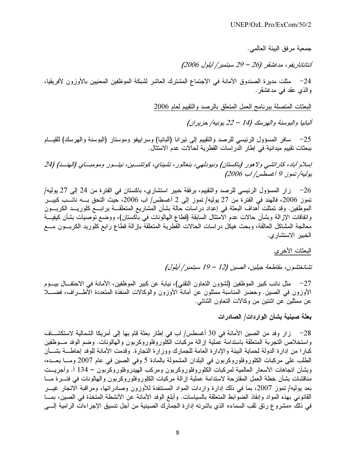جمعية مر فق البيئة العالمي.

أنتاناناريفو، مدغشقر (26 - 29 سبتمبر/ أيلول 2006)

24– مثلت مديرة الصندوق الأمانة في الاجتماع المشترك العاشر لشبكة الموظفين المعنيين بالأوزون لأفريقيا، والذي عقد في مدغشقر .

البعثات المتصلة ببرنامج العمل المتعلق بالرصد والتقييم لعام 2006

ألبانيا والبوسنة والهرسك (14 - 22 يونيه/ حزيران)

25− سافر المسؤول الرئيسي للرصد والتقييم إلى نيرانا (ألبانيا) وسراييفو وموستار (البوسنة والهرسك) للقيــام ببعثات تقييم ميدانية في إطار الدراسات القطرية لحالات عدم الامتثال.

اسلام أباد، كاراتشي ولاهور (باكستان) ونيودلهي، بنغالور، تشيناي، كوتشــين، نيتــور ومومبــاي (الهنــد) (24 يوليه/تموز 9 أغسطس/ آب 2006)

26– زار المسؤول الرئيسي للرصد والنقييم، برفقة خبير استشاري، باكستان في الفترة من 24 إلى 27 يوليه/ تموز 2006، فالمهند في الفترة من 27 يوليه/ تموز إلى 2 أغسطس/ آب 2006، حيث التحق بــــه نائــــب كبيــــر الموظفين. وقد تمثلت أهداف البعثة في إعداد در اسات حالة بشأن المشاريع المتعلقـــة بر ابــــع كلوريـــد الكربـــون واتفاقات الإزالة وبشأن حالات عدم الامتثال السابقة (قطاع المهالونات في باكستان)، ووضع توصيات بشأن كيفيـــة معالجة المشاكل العالقة، وبحث هيكل دراسات الحالات القطرية المتعلقة بإزالة قطاع رابع كلوريد الكربـــون مــــع الخبير الاستشار ي.

# البعثات الأخرى

تشانغتشون، مقاطعة جيلين، الصين (12 – 19 سبتمبر/ أيلول)

27− مثل نائب كبير الموظفين (لشؤون النعاون النقني)، نيابة عن كبير الموظفين، الأمانة في الاحتفــال بيـــوم الأوزون في الصين. وحضر المناسبة ممثلون عن أمانة الأوزون والوكالات المنفذة المتعددة الأطـــراف، فضــــلا عن ممثلين عن اثنتين من وكالات التعاون الثنائبي.

بعثة صينية بشأن الواردات/ الصادرات

واستخلاص التجربة المتعلقة باستدامة عملية إزالة مركبات الكلوروفلوروكربون والهالونات. وضم الوفد مــوظفين كبارًا من إدارة الدولة لحماية البيئة والإدارة العامة للجمارك ووزارة التجارة. وقدمت الأمانة للوفد إحاطــــة بشــــأن الطلب على مركبات الكلوروفلوروكربون في البلدان المشمولة بالمادة 5 وفي الصين في عام 2007 ومـــا بعـــده، وبشأن اتجاهات الأسعار العالمية لمركبات الكلوروفلوروكربون ومركب الهيدروفلوروكربون – 134 أ. وأجريــت مناقشات بشأن خطة العمل المقترحة لاستدامة عملية إزالة مركبات الكلوروفلوروكربون والهالونات في فتـــرة مــــا بعد يوليه/ تموز 2007، بما في ذلك إدارة واردات المواد المستنفدة للأوزون وصادراتها، ومراقبة الاتجار غيـــر القانوني بهذه المواد وإنفاذ الضوابط المتعلقة بالسياسات. وأبلغ الوفد الأمانة عن الأنشطة المتخذة في الصين، بمـــا في ذلك «مشروع رتق ثقب السماء» الذي باشرته إدارة الجمارك الصينية من أجل تنسيق الإجراءات الرامية إلـــي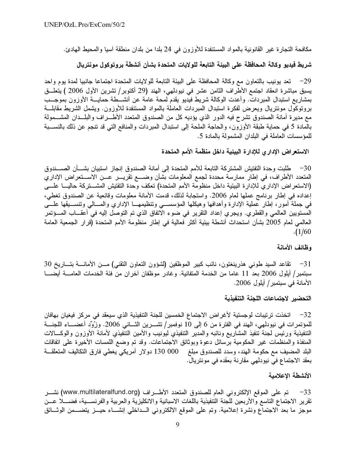مكافحة التجارة غير القانونية بالمواد المستنفدة للأوزون في 24 بلدا من بلدان منطقة آسيا والمحيط المهادئ.

# شريط فيديو وكالة المحافظة على البيئة التابعة للولايات المتحدة بشأن أنشطة بروتوكول مونتريال

29− تعد يونيب بالنعاون مع وكالة المحافظة على البيئة التابعة للولايات المتحدة اجتماعا جانبيا لمدة يوم واحد يسبق مباشرة انعقاد اجتمع الأطراف الثامن عشر في نيودلمهي، الهند (29 أكتوبر/ تشرين الأول 2006 ) يتعلَّــق بمشاريع استبدال المبردات. وأعدت الوكالة شريط فيديو يقدم لمحة عامة عن أنشـــطة حمايـــة الأوزون بموجـــب برونوكول مونتريال ويعرض لفكرة استبدال المبردات العاملة بالمواد المستنفدة للأوزون. ويشمل الشريط مقابلـــة مع مديرة أمانة الصندوق تشرح فيه الدور الذي يؤديه كل من الصندوق المتعدد الأطـــراف والبلـــدان المشـــمولة بالمادة 5 في حماية طبقة الأوزون، والحاجة الملحة إلى استبدال المبردات والمنافع التي قد تنجم عن ذلك بالنســـبة للمؤسسات العاملة في البلدان المشمولة بالمادة 5.

الاستعراض الإدارى للإدارة البيئية داخل منظمة الأمم المتحدة

30— طلبت وحدة التفتيش المشتركة التابعة للأمم المتحدة إلى أمانة الصندوق إنجاز استبيان بشـــأن الصــــندوق المتعدد الأطراف، في إطار ممارسة محددة لجمع المعلومات بشأن وضـــع تقريـــر عـــن الاســـتعراض الإداري (الاستعراض الإداري للإدارة البيئية داخل منظومة الأمم المتحدة) تعكف وحدة التفتيش المشـــتركة حاليـــا علــــى إعداده في إطار برنامج عملها لعام 2006. واستجابة لذلك، قدمت الأمانة معلومات وقائعية عن الصندوق تغطي، في جملة أمور، إطار عملية الإدارة وأهدافها وهيكلها المؤسســي وتنظيمهـــا الإداري والمسـالـي وتنســـيقها علــــي المستويين العالمي والقطري. ويجري إعداد التقرير في ضوء الاتفاق الذي تم التوصل إليه في أعقـــاب المـــؤتمر العالمي لعام 2005 بشأن استحداث أنشطة بيئية أكثر فعالية في إطار منظومة الأمم المتحدة (قرار الجمعية العامة  $. (1/60)$ 

#### وظائف الأمانة

31− تقاعد السيد طوني هذرينغتون، نائب كبير الموظفين (لشؤون التعاون التقني) مــن الأمانـــة بتـــاريخ 30 سبتمبر/ أيلول 2006 بعد 11 عاما من الخدمة المتفانية. وغادر موظفان آخران من فئة الخدمات العامـــة أيضــــا الأمانة في سبتمبر/ أيلول 2006.

#### التحضير لاجتماعات اللجنة التنفيذية

32− اتخذت ترتيبات لوجستية لأغر اض الاجتماع الخمسين للجنة التنفيذية الذي سيعقد في مركز فيغيان بهافان للمؤتمرات في نيودلهي، الهند في الفترة من 6 إلى 10 نوفمبر/ تشـــرين الثـــاني 2006. وزُوِّد أعضـــاء اللجنـــة التنفيذية ورئيس لجنة تنفيذ المشاريع ونائبه والمدير التنفيذي ليونيب والأمين التنفيذي لأمانة الأوزون والوكـــالات المنفذة والمنظمات غير الحكومية برسائل دعوة وبوثائق الاجتماعات. وقد تم وضع اللمسات الأخيرة على اتفاقات البلد المضيف مع حكومة الـهند، وسدد للصندوق مبلغ 000 130 دولار أمريكي يغطـي فارق التكاليف المتعلقـــة بعقد الاجتماع في نيودلهي مقارنة بعقده في مونتريال.

#### الأنشطة الاعلامية

33− تم على الموقع الإلكتروني العام للصندوق المتعدد الأطـــراف (www.multilateralfund.org) نشـــر نقرير الاجتماع التاسع والأربعين للجنة التنفيذية باللغات الاسبانية والانكليزية والعربية والفرنســية، فضـــلا عــن موجز ما بعد الاجتماع ونشرة إعلامية. وتم على الموقع الالكتروني الــداخلي إنشـــاء حيـــز يتضــــمن الوثـــائق